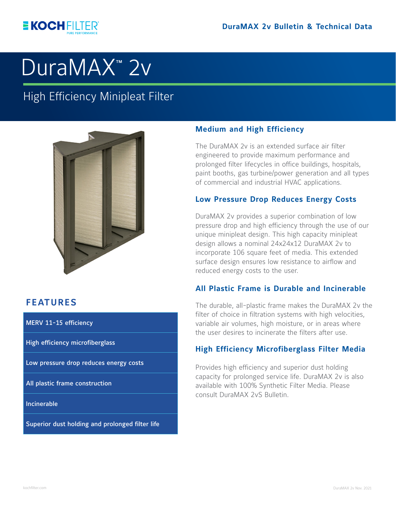

# DuraMAX<sup>™</sup> 2v

ساسیا<br>High Efficiency Mininleat High Efficiency Minipleat Filter



#### **Medium and High Efficiency**

The DuraMAX 2v is an extended surface air filter engineered to provide maximum performance and prolonged filter lifecycles in office buildings, hospitals, paint booths, gas turbine/power generation and all types of commercial and industrial HVAC applications.

#### **Low Pressure Drop Reduces Energy Costs**

DuraMAX 2v provides a superior combination of low pressure drop and high efficiency through the use of our unique minipleat design. This high capacity minipleat design allows a nominal 24x24x12 DuraMAX 2v to incorporate 106 square feet of media. This extended surface design ensures low resistance to airflow and reduced energy costs to the user.

#### **All Plastic Frame is Durable and Incinerable**

The durable, all-plastic frame makes the DuraMAX 2v the filter of choice in filtration systems with high velocities, variable air volumes, high moisture, or in areas where the user desires to incinerate the filters after use.

#### **High Efficiency Microfiberglass Filter Media**

Provides high efficiency and superior dust holding capacity for prolonged service life. DuraMAX 2v is also available with 100% Synthetic Filter Media. Please consult DuraMAX 2vS Bulletin.

### **FEATURES**

MERV 11-15 efficiency

High efficiency microfiberglass

Low pressure drop reduces energy costs

All plastic frame construction

Incinerable

Superior dust holding and prolonged filter life